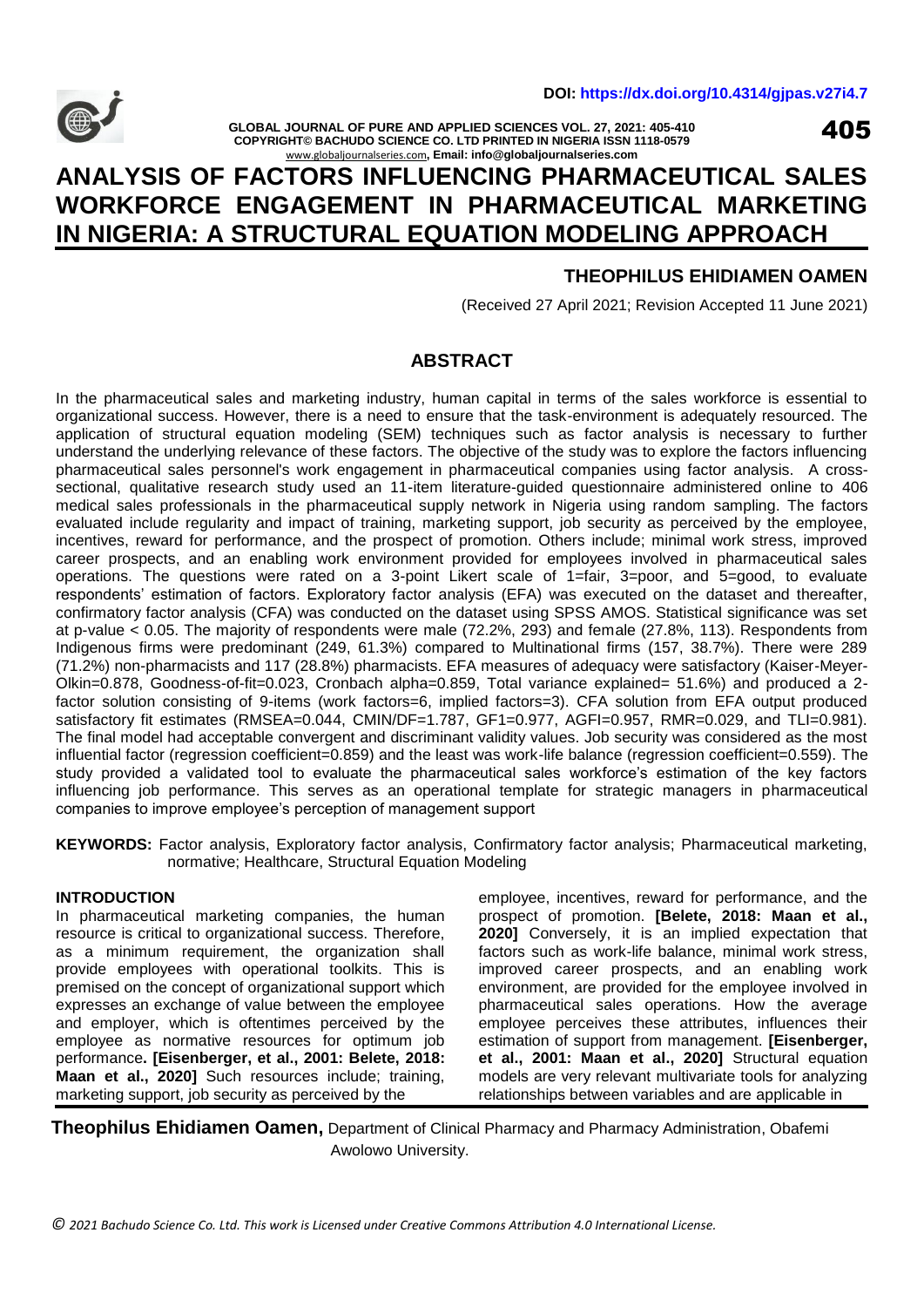

**GLOBAL JOURNAL OF PURE AND APPLIED SCIENCES VOL. 27, 2021: 405-410 COPYRIGHT© BACHUDO SCIENCE CO. LTD PRINTED IN NIGERIA ISSN 1118-0579** [www.globaljournalseries.com](http://www.globaljournalseries.com/)**, Email: info@globaljournalseries.com**

405

# **ANALYSIS OF FACTORS INFLUENCING PHARMACEUTICAL SALES WORKFORCE ENGAGEMENT IN PHARMACEUTICAL MARKETING IN NIGERIA: A STRUCTURAL EQUATION MODELING APPROACH**

# **THEOPHILUS EHIDIAMEN OAMEN**

(Received 27 April 2021; Revision Accepted 11 June 2021)

# **ABSTRACT**

In the pharmaceutical sales and marketing industry, human capital in terms of the sales workforce is essential to organizational success. However, there is a need to ensure that the task-environment is adequately resourced. The application of structural equation modeling (SEM) techniques such as factor analysis is necessary to further understand the underlying relevance of these factors. The objective of the study was to explore the factors influencing pharmaceutical sales personnel's work engagement in pharmaceutical companies using factor analysis. A crosssectional, qualitative research study used an 11-item literature-guided questionnaire administered online to 406 medical sales professionals in the pharmaceutical supply network in Nigeria using random sampling. The factors evaluated include regularity and impact of training, marketing support, job security as perceived by the employee, incentives, reward for performance, and the prospect of promotion. Others include; minimal work stress, improved career prospects, and an enabling work environment provided for employees involved in pharmaceutical sales operations. The questions were rated on a 3-point Likert scale of 1=fair, 3=poor, and 5=good, to evaluate respondents' estimation of factors. Exploratory factor analysis (EFA) was executed on the dataset and thereafter, confirmatory factor analysis (CFA) was conducted on the dataset using SPSS AMOS. Statistical significance was set at p-value < 0.05. The majority of respondents were male (72.2%, 293) and female (27.8%, 113). Respondents from Indigenous firms were predominant (249, 61.3%) compared to Multinational firms (157, 38.7%). There were 289 (71.2%) non-pharmacists and 117 (28.8%) pharmacists. EFA measures of adequacy were satisfactory (Kaiser-Meyer-Olkin=0.878, Goodness-of-fit=0.023, Cronbach alpha=0.859, Total variance explained= 51.6%) and produced a 2 factor solution consisting of 9-items (work factors=6, implied factors=3). CFA solution from EFA output produced satisfactory fit estimates (RMSEA=0.044, CMIN/DF=1.787, GF1=0.977, AGFI=0.957, RMR=0.029, and TLI=0.981). The final model had acceptable convergent and discriminant validity values. Job security was considered as the most influential factor (regression coefficient=0.859) and the least was work-life balance (regression coefficient=0.559). The study provided a validated tool to evaluate the pharmaceutical sales workforce's estimation of the key factors influencing job performance. This serves as an operational template for strategic managers in pharmaceutical companies to improve employee's perception of management support

**KEYWORDS:** Factor analysis, Exploratory factor analysis, Confirmatory factor analysis; Pharmaceutical marketing, normative; Healthcare, Structural Equation Modeling

## **INTRODUCTION**

In pharmaceutical marketing companies, the human resource is critical to organizational success. Therefore, as a minimum requirement, the organization shall provide employees with operational toolkits. This is premised on the concept of organizational support which expresses an exchange of value between the employee and employer, which is oftentimes perceived by the employee as normative resources for optimum job performance**. [Eisenberger, et al., 2001: Belete, 2018: Maan et al., 2020]** Such resources include; training, marketing support, job security as perceived by the

employee, incentives, reward for performance, and the prospect of promotion. **[Belete, 2018: Maan et al., 2020]** Conversely, it is an implied expectation that factors such as work-life balance, minimal work stress, improved career prospects, and an enabling work environment, are provided for the employee involved in pharmaceutical sales operations. How the average employee perceives these attributes, influences their estimation of support from management. **[Eisenberger, et al., 2001: Maan et al., 2020]** Structural equation models are very relevant multivariate tools for analyzing relationships between variables and are applicable in

**Theophilus Ehidiamen Oamen,** Department of Clinical Pharmacy and Pharmacy Administration, Obafemi Awolowo University.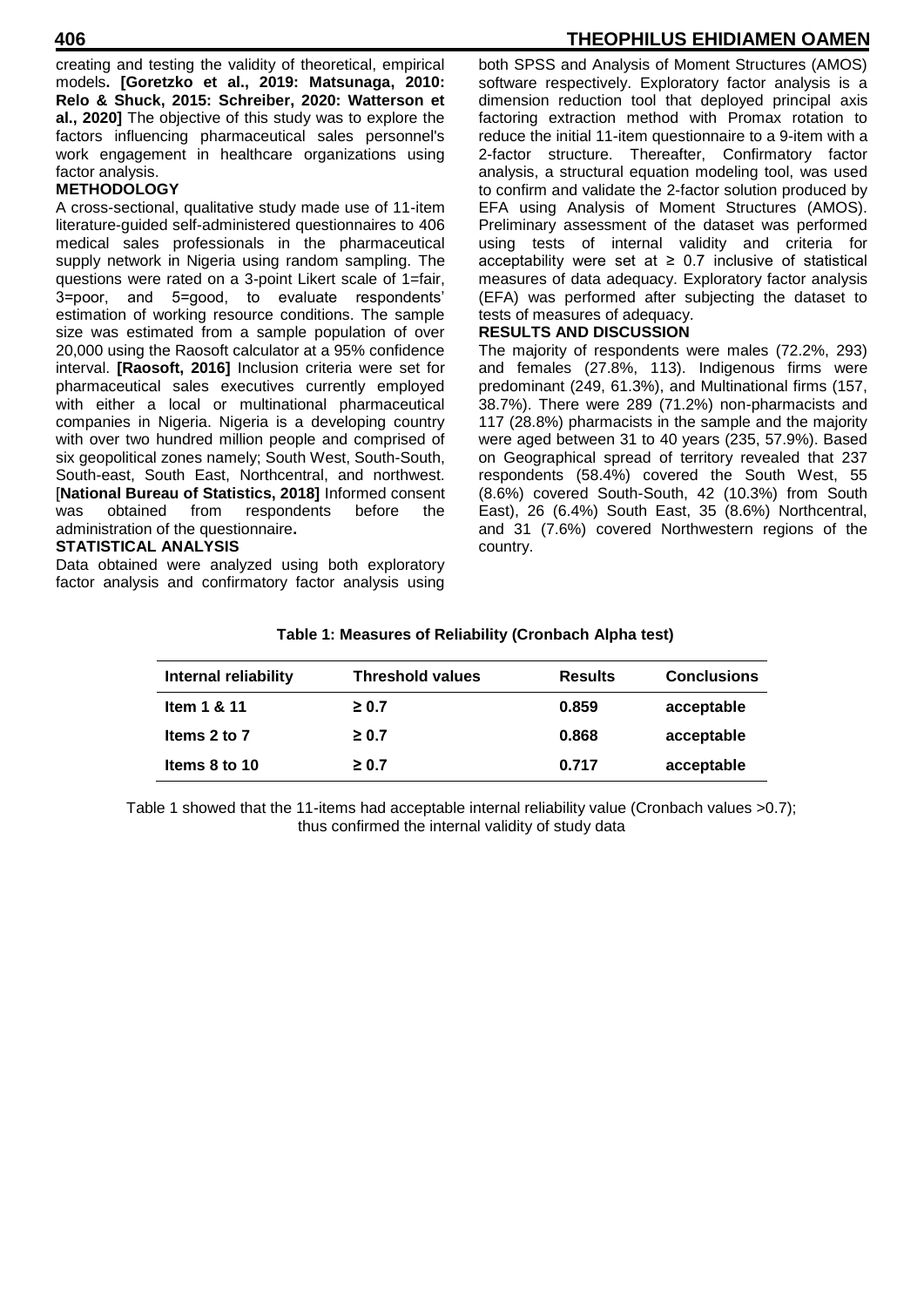creating and testing the validity of theoretical, empirical models**. [Goretzko et al., 2019: Matsunaga, 2010: Relo & Shuck, 2015: Schreiber, 2020: Watterson et al., 2020]** The objective of this study was to explore the factors influencing pharmaceutical sales personnel's work engagement in healthcare organizations using factor analysis.

# **METHODOLOGY**

A cross-sectional, qualitative study made use of 11-item literature-guided self-administered questionnaires to 406 medical sales professionals in the pharmaceutical supply network in Nigeria using random sampling. The questions were rated on a 3-point Likert scale of 1=fair, 3=poor, and 5=good, to evaluate respondents' estimation of working resource conditions. The sample size was estimated from a sample population of over 20,000 using the Raosoft calculator at a 95% confidence interval. **[Raosoft, 2016]** Inclusion criteria were set for pharmaceutical sales executives currently employed with either a local or multinational pharmaceutical companies in Nigeria. Nigeria is a developing country with over two hundred million people and comprised of six geopolitical zones namely; South West, South-South, South-east, South East, Northcentral, and northwest. [**National Bureau of Statistics, 2018]** Informed consent was obtained from respondents before the administration of the questionnaire**.** 

# **STATISTICAL ANALYSIS**

Data obtained were analyzed using both exploratory factor analysis and confirmatory factor analysis using

# **406 THEOPHILUS EHIDIAMEN OAMEN**

both SPSS and Analysis of Moment Structures (AMOS) software respectively. Exploratory factor analysis is a dimension reduction tool that deployed principal axis factoring extraction method with Promax rotation to reduce the initial 11-item questionnaire to a 9-item with a 2-factor structure. Thereafter, Confirmatory factor analysis, a structural equation modeling tool, was used to confirm and validate the 2-factor solution produced by EFA using Analysis of Moment Structures (AMOS). Preliminary assessment of the dataset was performed using tests of internal validity and criteria for acceptability were set at  $\geq$  0.7 inclusive of statistical measures of data adequacy. Exploratory factor analysis (EFA) was performed after subjecting the dataset to tests of measures of adequacy.

# **RESULTS AND DISCUSSION**

The majority of respondents were males (72.2%, 293) and females (27.8%, 113). Indigenous firms were predominant (249, 61.3%), and Multinational firms (157, 38.7%). There were 289 (71.2%) non-pharmacists and 117 (28.8%) pharmacists in the sample and the majority were aged between 31 to 40 years (235, 57.9%). Based on Geographical spread of territory revealed that 237 respondents (58.4%) covered the South West, 55 (8.6%) covered South-South, 42 (10.3%) from South East), 26 (6.4%) South East, 35 (8.6%) Northcentral, and 31 (7.6%) covered Northwestern regions of the country.

| Internal reliability | <b>Threshold values</b> | <b>Results</b> | <b>Conclusions</b> |
|----------------------|-------------------------|----------------|--------------------|
| Item 1 & 11          | $\geq 0.7$              | 0.859          | acceptable         |
| Items 2 to 7         | $\geq 0.7$              | 0.868          | acceptable         |
| Items 8 to 10        | $\geq 0.7$              | 0.717          | acceptable         |

# **Table 1: Measures of Reliability (Cronbach Alpha test)**

Table 1 showed that the 11-items had acceptable internal reliability value (Cronbach values >0.7); thus confirmed the internal validity of study data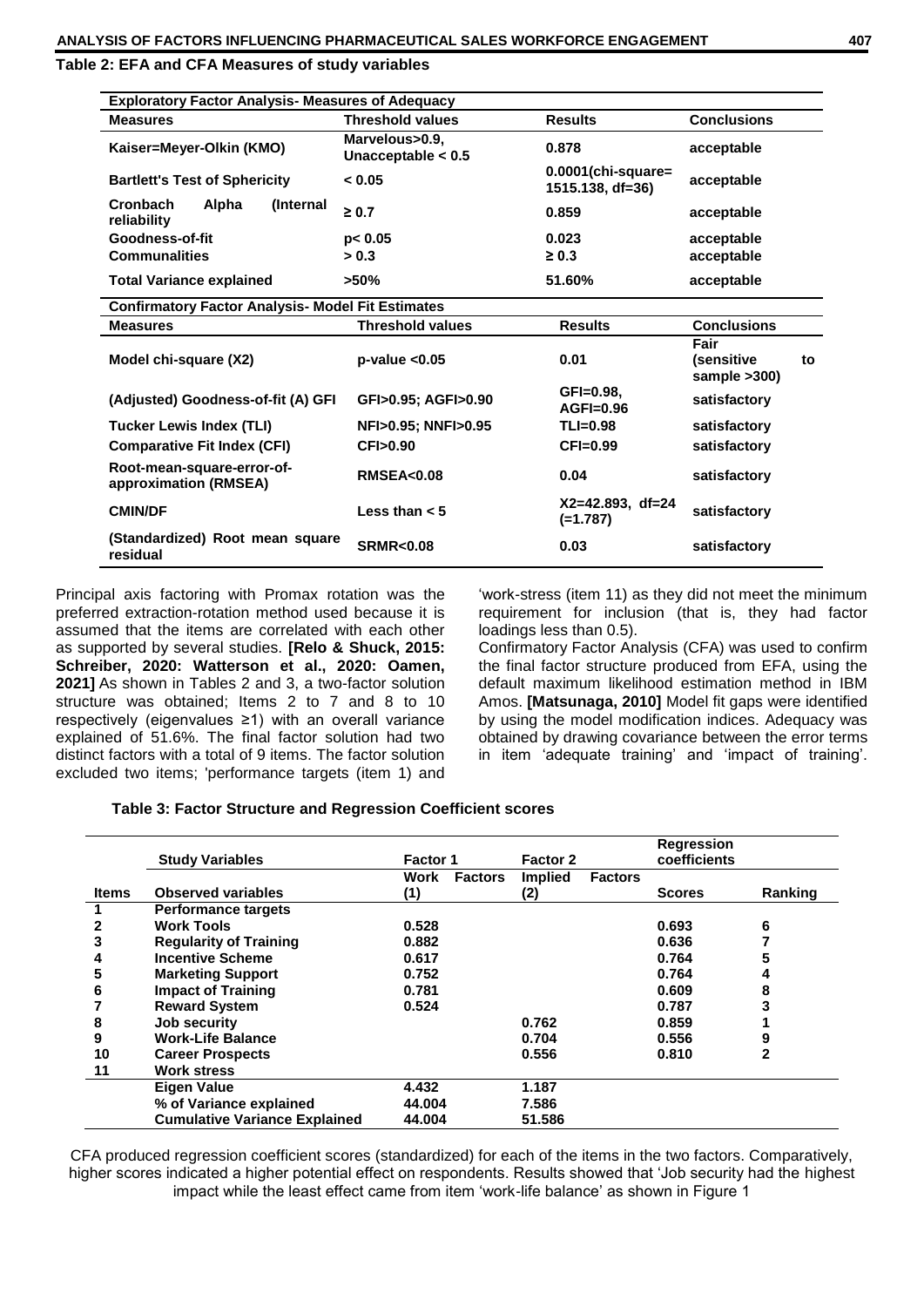**Table 2: EFA and CFA Measures of study variables**

| <b>Exploratory Factor Analysis- Measures of Adequacy</b> |                                        |                                           |                                          |  |  |  |  |
|----------------------------------------------------------|----------------------------------------|-------------------------------------------|------------------------------------------|--|--|--|--|
| <b>Measures</b>                                          | <b>Threshold values</b>                | <b>Results</b>                            | <b>Conclusions</b>                       |  |  |  |  |
| Kaiser=Meyer-Olkin (KMO)                                 | Marvelous>0.9,<br>Unacceptable $< 0.5$ | 0.878                                     | acceptable                               |  |  |  |  |
| <b>Bartlett's Test of Sphericity</b>                     | < 0.05                                 | $0.0001$ (chi-square=<br>1515.138, df=36) | acceptable                               |  |  |  |  |
| Cronbach<br>Alpha<br><i>(Internal)</i><br>reliability    | $\geq 0.7$                             | 0.859                                     | acceptable                               |  |  |  |  |
| Goodness-of-fit                                          | p< 0.05                                | 0.023                                     | acceptable                               |  |  |  |  |
| <b>Communalities</b>                                     | > 0.3                                  | $\geq 0.3$                                | acceptable                               |  |  |  |  |
| <b>Total Variance explained</b>                          | $>50\%$                                | 51.60%                                    | acceptable                               |  |  |  |  |
| <b>Confirmatory Factor Analysis- Model Fit Estimates</b> |                                        |                                           |                                          |  |  |  |  |
| <b>Measures</b>                                          | <b>Threshold values</b>                | <b>Results</b>                            | <b>Conclusions</b>                       |  |  |  |  |
| Model chi-square (X2)                                    | $p-value < 0.05$                       | 0.01                                      | Fair<br>(sensitive<br>to<br>sample >300) |  |  |  |  |
| (Adjusted) Goodness-of-fit (A) GFI                       | GFI>0.95; AGFI>0.90                    | GFI=0.98,<br>$AGFI=0.96$                  | satisfactory                             |  |  |  |  |
| <b>Tucker Lewis Index (TLI)</b>                          | NFI>0.95; NNFI>0.95                    | $TLI=0.98$                                | satisfactory                             |  |  |  |  |
| <b>Comparative Fit Index (CFI)</b>                       | CFI>0.90                               | $CFI=0.99$                                | satisfactory                             |  |  |  |  |
| Root-mean-square-error-of-<br>approximation (RMSEA)      | <b>RMSEA&lt;0.08</b>                   | 0.04                                      | satisfactory                             |  |  |  |  |
| <b>CMIN/DF</b>                                           | Less than $< 5$                        | $X2=42.893$ , df=24<br>$(=1.787)$         | satisfactory                             |  |  |  |  |
| (Standardized) Root mean square<br>residual              | <b>SRMR&lt;0.08</b>                    | 0.03                                      | satisfactory                             |  |  |  |  |

Principal axis factoring with Promax rotation was the preferred extraction-rotation method used because it is assumed that the items are correlated with each other as supported by several studies. **[Relo & Shuck, 2015: Schreiber, 2020: Watterson et al., 2020: Oamen, 2021]** As shown in Tables 2 and 3, a two-factor solution structure was obtained; Items 2 to 7 and 8 to 10 respectively (eigenvalues ≥1) with an overall variance explained of 51.6%. The final factor solution had two distinct factors with a total of 9 items. The factor solution excluded two items; 'performance targets (item 1) and

'work-stress (item 11) as they did not meet the minimum requirement for inclusion (that is, they had factor loadings less than 0.5).

Confirmatory Factor Analysis (CFA) was used to confirm the final factor structure produced from EFA, using the default maximum likelihood estimation method in IBM Amos. **[Matsunaga, 2010]** Model fit gaps were identified by using the model modification indices. Adequacy was obtained by drawing covariance between the error terms in item 'adequate training' and 'impact of training'.

|  |  |  | Table 3: Factor Structure and Regression Coefficient scores |
|--|--|--|-------------------------------------------------------------|
|--|--|--|-------------------------------------------------------------|

|       | <b>Study Variables</b>               | <b>Factor 1</b> |                | Factor 2       |                | <b>Regression</b><br>coefficients |         |
|-------|--------------------------------------|-----------------|----------------|----------------|----------------|-----------------------------------|---------|
|       |                                      | Work            | <b>Factors</b> | <b>Implied</b> | <b>Factors</b> |                                   |         |
| Items | <b>Observed variables</b>            | (1)             |                | (2)            |                | <b>Scores</b>                     | Ranking |
|       | <b>Performance targets</b>           |                 |                |                |                |                                   |         |
|       | <b>Work Tools</b>                    | 0.528           |                |                |                | 0.693                             | 6       |
| 3     | <b>Regularity of Training</b>        | 0.882           |                |                |                | 0.636                             |         |
| 4     | <b>Incentive Scheme</b>              | 0.617           |                |                |                | 0.764                             | 5       |
| 5     | <b>Marketing Support</b>             | 0.752           |                |                |                | 0.764                             | 4       |
| 6     | <b>Impact of Training</b>            | 0.781           |                |                |                | 0.609                             | 8       |
|       | <b>Reward System</b>                 | 0.524           |                |                |                | 0.787                             | 3       |
| 8     | Job security                         |                 |                | 0.762          |                | 0.859                             |         |
| 9     | <b>Work-Life Balance</b>             |                 |                | 0.704          |                | 0.556                             | 9       |
| 10    | <b>Career Prospects</b>              |                 |                | 0.556          |                | 0.810                             | 2       |
| 11    | <b>Work stress</b>                   |                 |                |                |                |                                   |         |
|       | <b>Eigen Value</b>                   | 4.432           |                | 1.187          |                |                                   |         |
|       | % of Variance explained              | 44.004          |                | 7.586          |                |                                   |         |
|       | <b>Cumulative Variance Explained</b> | 44.004          |                | 51.586         |                |                                   |         |

CFA produced regression coefficient scores (standardized) for each of the items in the two factors. Comparatively, higher scores indicated a higher potential effect on respondents. Results showed that 'Job security had the highest impact while the least effect came from item 'work-life balance' as shown in Figure 1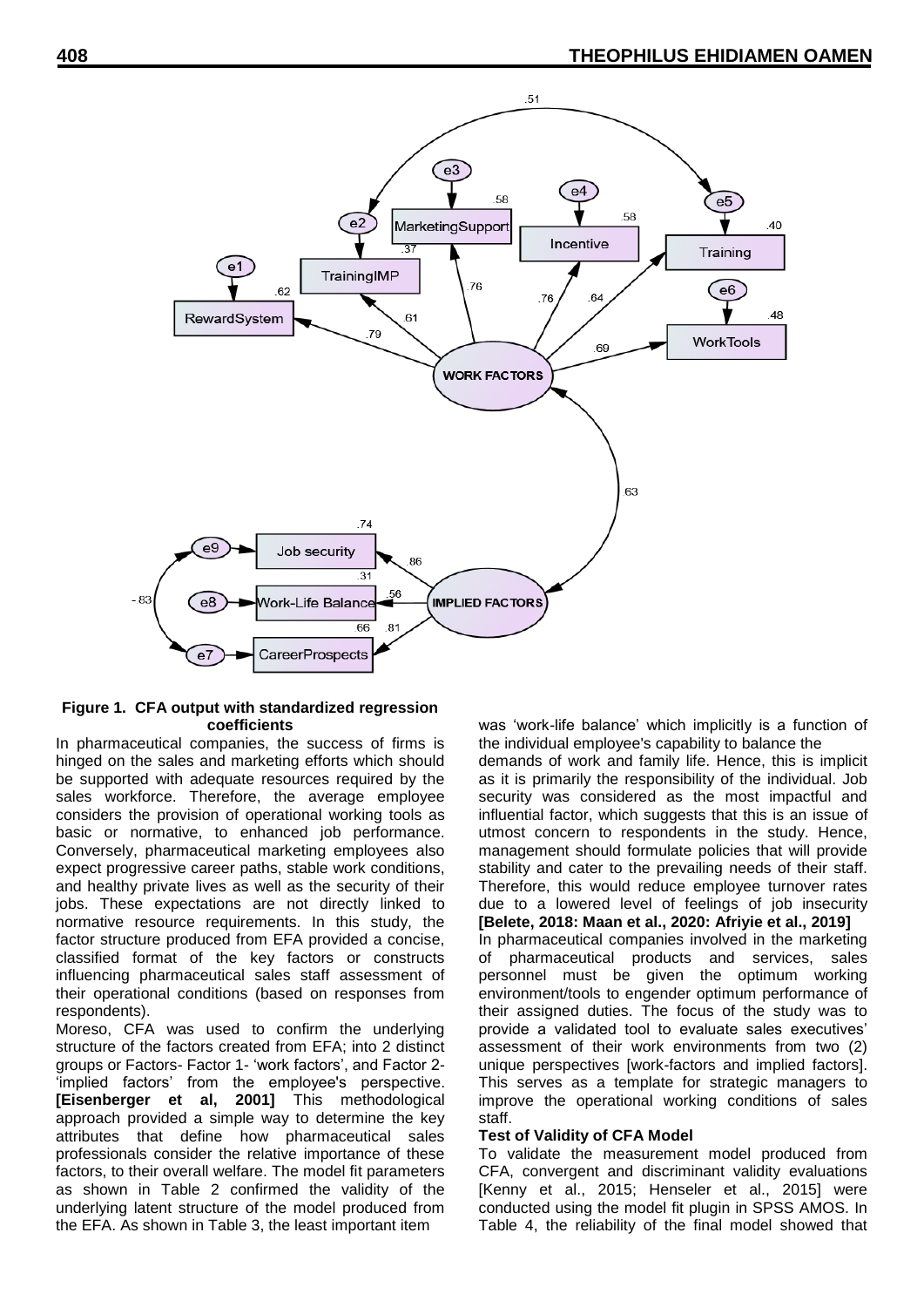

# **Figure 1. CFA output with standardized regression coefficients**

In pharmaceutical companies, the success of firms is hinged on the sales and marketing efforts which should be supported with adequate resources required by the sales workforce. Therefore, the average employee considers the provision of operational working tools as basic or normative, to enhanced job performance. Conversely, pharmaceutical marketing employees also expect progressive career paths, stable work conditions, and healthy private lives as well as the security of their jobs. These expectations are not directly linked to normative resource requirements. In this study, the factor structure produced from EFA provided a concise, classified format of the key factors or constructs influencing pharmaceutical sales staff assessment of their operational conditions (based on responses from respondents).

Moreso, CFA was used to confirm the underlying structure of the factors created from EFA; into 2 distinct groups or Factors- Factor 1- 'work factors', and Factor 2- 'implied factors' from the employee's perspective. **[Eisenberger et al, 2001]** This methodological approach provided a simple way to determine the key attributes that define how pharmaceutical sales professionals consider the relative importance of these factors, to their overall welfare. The model fit parameters as shown in Table 2 confirmed the validity of the underlying latent structure of the model produced from the EFA. As shown in Table 3, the least important item

was 'work-life balance' which implicitly is a function of the individual employee's capability to balance the demands of work and family life. Hence, this is implicit as it is primarily the responsibility of the individual. Job security was considered as the most impactful and influential factor, which suggests that this is an issue of utmost concern to respondents in the study. Hence, management should formulate policies that will provide stability and cater to the prevailing needs of their staff. Therefore, this would reduce employee turnover rates due to a lowered level of feelings of job insecurity **[Belete, 2018: Maan et al., 2020: Afriyie et al., 2019]**

In pharmaceutical companies involved in the marketing of pharmaceutical products and services, sales personnel must be given the optimum working environment/tools to engender optimum performance of their assigned duties. The focus of the study was to provide a validated tool to evaluate sales executives' assessment of their work environments from two (2) unique perspectives [work-factors and implied factors]. This serves as a template for strategic managers to improve the operational working conditions of sales staff.

## **Test of Validity of CFA Model**

To validate the measurement model produced from CFA, convergent and discriminant validity evaluations [Kenny et al., 2015; Henseler et al., 2015] were conducted using the model fit plugin in SPSS AMOS. In Table 4, the reliability of the final model showed that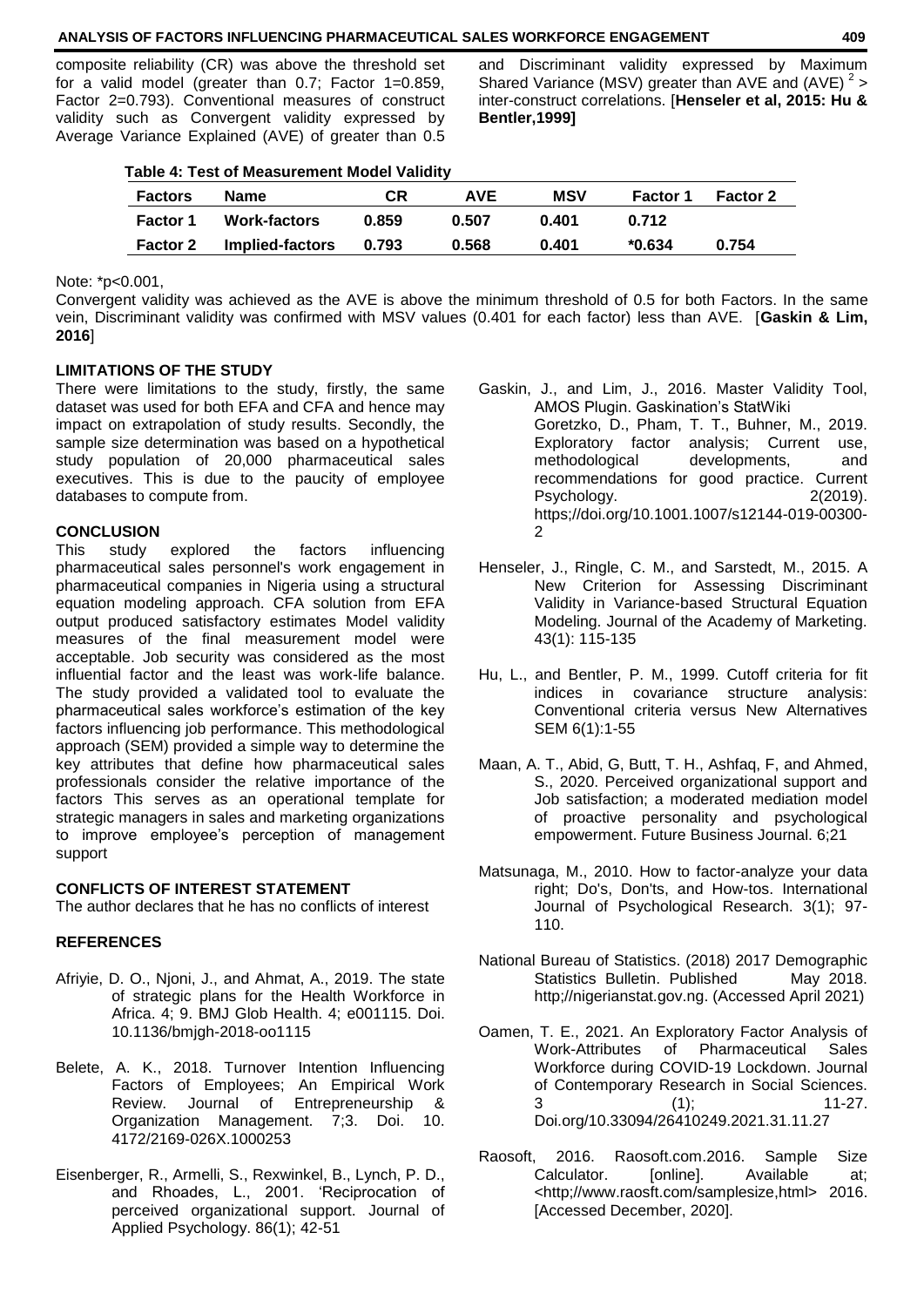## **ANALYSIS OF FACTORS INFLUENCING PHARMACEUTICAL SALES WORKFORCE ENGAGEMENT 409**

composite reliability (CR) was above the threshold set for a valid model (greater than 0.7; Factor 1=0.859, Factor 2=0.793). Conventional measures of construct validity such as Convergent validity expressed by Average Variance Explained (AVE) of greater than 0.5

and Discriminant validity expressed by Maximum Shared Variance (MSV) greater than AVE and (AVE)  $2$  > inter-construct correlations. [**Henseler et al, 2015: Hu & Bentler,1999]**

| <b>Table 4: Test of Measurement Model Validity</b> |                     |       |            |            |                 |                 |  |
|----------------------------------------------------|---------------------|-------|------------|------------|-----------------|-----------------|--|
| <b>Factors</b>                                     | <b>Name</b>         | СR    | <b>AVE</b> | <b>MSV</b> | <b>Factor 1</b> | <b>Factor 2</b> |  |
| <b>Factor 1</b>                                    | <b>Work-factors</b> | 0.859 | 0.507      | 0.401      | 0.712           |                 |  |
| <b>Factor 2</b>                                    | Implied-factors     | 0.793 | 0.568      | 0.401      | *0.634          | 0.754           |  |

Note: \*p<0.001,

Convergent validity was achieved as the AVE is above the minimum threshold of 0.5 for both Factors. In the same vein, Discriminant validity was confirmed with MSV values (0.401 for each factor) less than AVE. [**Gaskin & Lim, 2016**]

#### **LIMITATIONS OF THE STUDY**

There were limitations to the study, firstly, the same dataset was used for both EFA and CFA and hence may impact on extrapolation of study results. Secondly, the sample size determination was based on a hypothetical study population of 20,000 pharmaceutical sales executives. This is due to the paucity of employee databases to compute from.

#### **CONCLUSION**

This study explored the factors influencing pharmaceutical sales personnel's work engagement in pharmaceutical companies in Nigeria using a structural equation modeling approach. CFA solution from EFA output produced satisfactory estimates Model validity measures of the final measurement model were acceptable. Job security was considered as the most influential factor and the least was work-life balance. The study provided a validated tool to evaluate the pharmaceutical sales workforce's estimation of the key factors influencing job performance. This methodological approach (SEM) provided a simple way to determine the key attributes that define how pharmaceutical sales professionals consider the relative importance of the factors This serves as an operational template for strategic managers in sales and marketing organizations to improve employee's perception of management support

#### **CONFLICTS OF INTEREST STATEMENT**

The author declares that he has no conflicts of interest

#### **REFERENCES**

- Afriyie, D. O., Njoni, J., and Ahmat, A., 2019. The state of strategic plans for the Health Workforce in Africa. 4; 9. BMJ Glob Health. 4; e001115. Doi. 10.1136/bmjgh-2018-oo1115
- Belete, A. K., 2018. Turnover Intention Influencing Factors of Employees; An Empirical Work Review. Journal of Entrepreneurship & Organization Management. 7;3. Doi. 10. 4172/2169-026X.1000253
- Eisenberger, R., Armelli, S., Rexwinkel, B., Lynch, P. D., and Rhoades, L., 2001. 'Reciprocation of perceived organizational support. Journal of Applied Psychology. 86(1); 42-51
- Gaskin, J., and Lim, J., 2016. Master Validity Tool, AMOS Plugin. Gaskination's StatWiki Goretzko, D., Pham, T. T., Buhner, M., 2019. Exploratory factor analysis; Current use, methodological developments, and recommendations for good practice. Current Psychology. 2(2019). https;//doi.org/10.1001.1007/s12144-019-00300- 2
- Henseler, J., Ringle, C. M., and Sarstedt, M., 2015. A New Criterion for Assessing Discriminant Validity in Variance-based Structural Equation Modeling. Journal of the Academy of Marketing. 43(1): 115-135
- Hu, L., and Bentler, P. M., 1999. Cutoff criteria for fit indices in covariance structure analysis: Conventional criteria versus New Alternatives SEM 6(1):1-55
- Maan, A. T., Abid, G, Butt, T. H., Ashfaq, F, and Ahmed, S., 2020. Perceived organizational support and Job satisfaction; a moderated mediation model of proactive personality and psychological empowerment. Future Business Journal. 6;21
- Matsunaga, M., 2010. How to factor-analyze your data right; Do's, Don'ts, and How-tos. International Journal of Psychological Research. 3(1); 97- 110.
- National Bureau of Statistics. (2018) 2017 Demographic Statistics Bulletin. Published May 2018. http;//nigerianstat.gov.ng. (Accessed April 2021)
- Oamen, T. E., 2021. An Exploratory Factor Analysis of Work-Attributes of Pharmaceutical Sales Workforce during COVID-19 Lockdown. Journal of Contemporary Research in Social Sciences. 3 (1); 11-27. Doi.org/10.33094/26410249.2021.31.11.27
- Raosoft, 2016. Raosoft.com.2016. Sample Size Calculator. [online]. Available at; <http;//www.raosft.com/samplesize,html> 2016. [Accessed December, 2020].